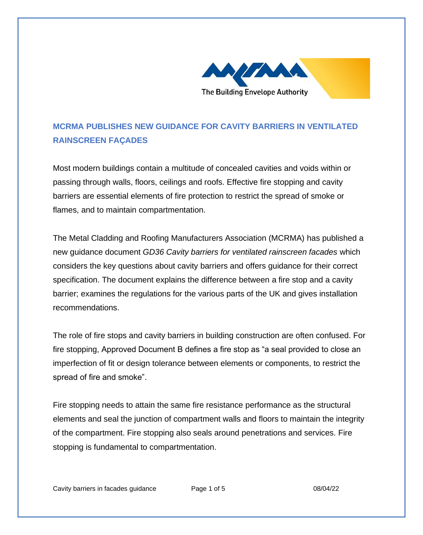

## **MCRMA PUBLISHES NEW GUIDANCE FOR CAVITY BARRIERS IN VENTILATED RAINSCREEN FAÇADES**

Most modern buildings contain a multitude of concealed cavities and voids within or passing through walls, floors, ceilings and roofs. Effective fire stopping and cavity barriers are essential elements of fire protection to restrict the spread of smoke or flames, and to maintain compartmentation.

The Metal Cladding and Roofing Manufacturers Association (MCRMA) has published a new guidance document *GD36 Cavity barriers for ventilated rainscreen facades* which considers the key questions about cavity barriers and offers guidance for their correct specification. The document explains the difference between a fire stop and a cavity barrier; examines the regulations for the various parts of the UK and gives installation recommendations.

The role of fire stops and cavity barriers in building construction are often confused. For fire stopping, Approved Document B defines a fire stop as "a seal provided to close an imperfection of fit or design tolerance between elements or components, to restrict the spread of fire and smoke".

Fire stopping needs to attain the same fire resistance performance as the structural elements and seal the junction of compartment walls and floors to maintain the integrity of the compartment. Fire stopping also seals around penetrations and services. Fire stopping is fundamental to compartmentation.

Cavity barriers in facades guidance Page 1 of 5 08/04/22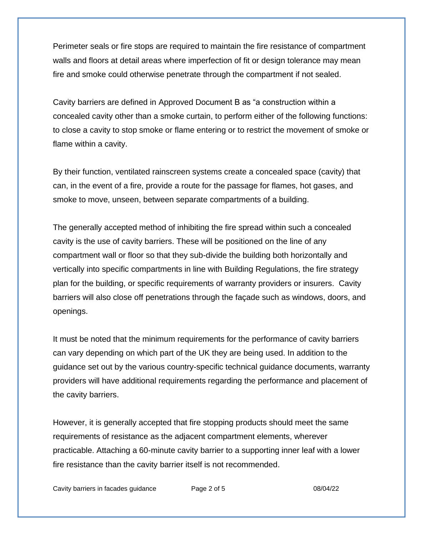Perimeter seals or fire stops are required to maintain the fire resistance of compartment walls and floors at detail areas where imperfection of fit or design tolerance may mean fire and smoke could otherwise penetrate through the compartment if not sealed.

Cavity barriers are defined in Approved Document B as "a construction within a concealed cavity other than a smoke curtain, to perform either of the following functions: to close a cavity to stop smoke or flame entering or to restrict the movement of smoke or flame within a cavity.

By their function, ventilated rainscreen systems create a concealed space (cavity) that can, in the event of a fire, provide a route for the passage for flames, hot gases, and smoke to move, unseen, between separate compartments of a building.

The generally accepted method of inhibiting the fire spread within such a concealed cavity is the use of cavity barriers. These will be positioned on the line of any compartment wall or floor so that they sub-divide the building both horizontally and vertically into specific compartments in line with Building Regulations, the fire strategy plan for the building, or specific requirements of warranty providers or insurers. Cavity barriers will also close off penetrations through the façade such as windows, doors, and openings.

It must be noted that the minimum requirements for the performance of cavity barriers can vary depending on which part of the UK they are being used. In addition to the guidance set out by the various country-specific technical guidance documents, warranty providers will have additional requirements regarding the performance and placement of the cavity barriers.

However, it is generally accepted that fire stopping products should meet the same requirements of resistance as the adjacent compartment elements, wherever practicable. Attaching a 60-minute cavity barrier to a supporting inner leaf with a lower fire resistance than the cavity barrier itself is not recommended.

Cavity barriers in facades guidance Page 2 of 5 08/04/22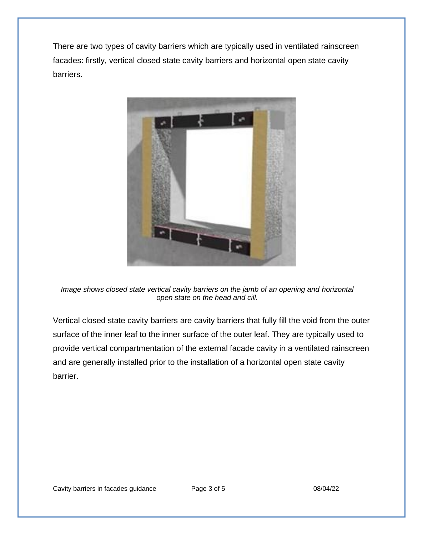There are two types of cavity barriers which are typically used in ventilated rainscreen facades: firstly, vertical closed state cavity barriers and horizontal open state cavity barriers.



*Image shows closed state vertical cavity barriers on the jamb of an opening and horizontal open state on the head and cill.*

Vertical closed state cavity barriers are cavity barriers that fully fill the void from the outer surface of the inner leaf to the inner surface of the outer leaf. They are typically used to provide vertical compartmentation of the external facade cavity in a ventilated rainscreen and are generally installed prior to the installation of a horizontal open state cavity barrier.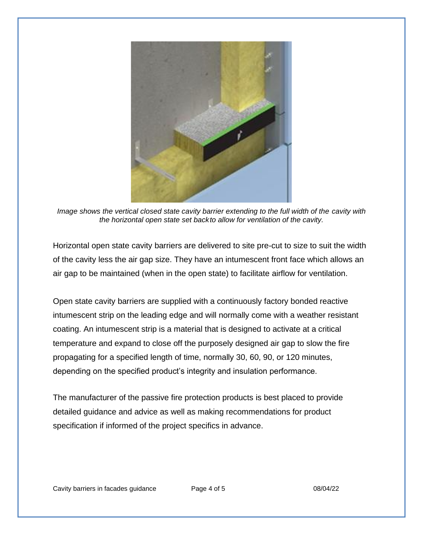

*Image shows the vertical closed state cavity barrier extending to the full width of the cavity with the horizontal open state set backto allow for ventilation of the cavity.*

Horizontal open state cavity barriers are delivered to site pre-cut to size to suit the width of the cavity less the air gap size. They have an intumescent front face which allows an air gap to be maintained (when in the open state) to facilitate airflow for ventilation.

Open state cavity barriers are supplied with a continuously factory bonded reactive intumescent strip on the leading edge and will normally come with a weather resistant coating. An intumescent strip is a material that is designed to activate at a critical temperature and expand to close off the purposely designed air gap to slow the fire propagating for a specified length of time, normally 30, 60, 90, or 120 minutes, depending on the specified product's integrity and insulation performance.

The manufacturer of the passive fire protection products is best placed to provide detailed guidance and advice as well as making recommendations for product specification if informed of the project specifics in advance.

Cavity barriers in facades guidance Page 4 of 5 08/04/22